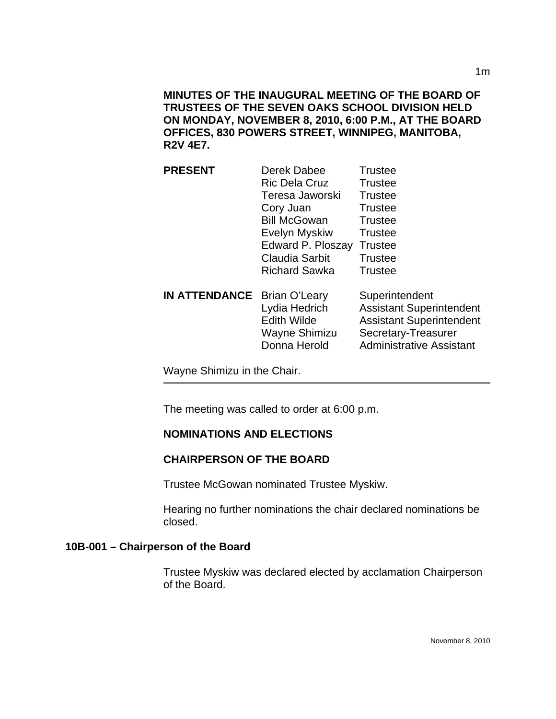**MINUTES OF THE INAUGURAL MEETING OF THE BOARD OF TRUSTEES OF THE SEVEN OAKS SCHOOL DIVISION HELD ON MONDAY, NOVEMBER 8, 2010, 6:00 P.M., AT THE BOARD OFFICES, 830 POWERS STREET, WINNIPEG, MANITOBA, R2V 4E7.** 

| <b>PRESENT</b>                     | Derek Dabee                                                          | <b>Trustee</b>                                                                                                                                 |
|------------------------------------|----------------------------------------------------------------------|------------------------------------------------------------------------------------------------------------------------------------------------|
|                                    | <b>Ric Dela Cruz</b>                                                 | Trustee                                                                                                                                        |
|                                    | Teresa Jaworski                                                      | <b>Trustee</b>                                                                                                                                 |
|                                    | Cory Juan                                                            | <b>Trustee</b>                                                                                                                                 |
|                                    | <b>Bill McGowan</b>                                                  | <b>Trustee</b>                                                                                                                                 |
|                                    | Evelyn Myskiw                                                        | <b>Trustee</b>                                                                                                                                 |
|                                    | Edward P. Ploszay                                                    | <b>Trustee</b>                                                                                                                                 |
|                                    | <b>Claudia Sarbit</b>                                                | <b>Trustee</b>                                                                                                                                 |
|                                    | <b>Richard Sawka</b>                                                 | Trustee                                                                                                                                        |
| <b>IN ATTENDANCE</b> Brian O'Leary | Lydia Hedrich<br><b>Edith Wilde</b><br>Wayne Shimizu<br>Donna Herold | Superintendent<br><b>Assistant Superintendent</b><br><b>Assistant Superintendent</b><br>Secretary-Treasurer<br><b>Administrative Assistant</b> |

Wayne Shimizu in the Chair.

The meeting was called to order at 6:00 p.m.

## **NOMINATIONS AND ELECTIONS**

#### **CHAIRPERSON OF THE BOARD**

Trustee McGowan nominated Trustee Myskiw.

Hearing no further nominations the chair declared nominations be closed.

#### **10B-001 – Chairperson of the Board**

Trustee Myskiw was declared elected by acclamation Chairperson of the Board.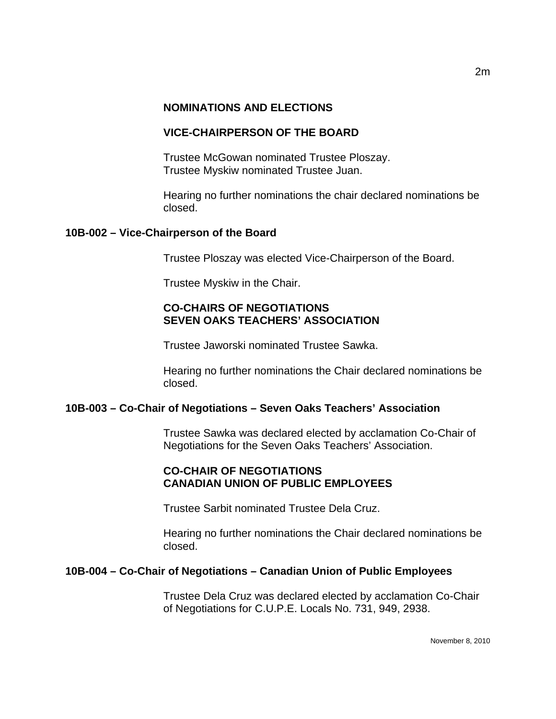#### **NOMINATIONS AND ELECTIONS**

### **VICE-CHAIRPERSON OF THE BOARD**

Trustee McGowan nominated Trustee Ploszay. Trustee Myskiw nominated Trustee Juan.

Hearing no further nominations the chair declared nominations be closed.

#### **10B-002 – Vice-Chairperson of the Board**

Trustee Ploszay was elected Vice-Chairperson of the Board.

Trustee Myskiw in the Chair.

#### **CO-CHAIRS OF NEGOTIATIONS SEVEN OAKS TEACHERS' ASSOCIATION**

Trustee Jaworski nominated Trustee Sawka.

Hearing no further nominations the Chair declared nominations be closed.

#### **10B-003 – Co-Chair of Negotiations – Seven Oaks Teachers' Association**

Trustee Sawka was declared elected by acclamation Co-Chair of Negotiations for the Seven Oaks Teachers' Association.

# **CO-CHAIR OF NEGOTIATIONS CANADIAN UNION OF PUBLIC EMPLOYEES**

Trustee Sarbit nominated Trustee Dela Cruz.

Hearing no further nominations the Chair declared nominations be closed.

#### **10B-004 – Co-Chair of Negotiations – Canadian Union of Public Employees**

Trustee Dela Cruz was declared elected by acclamation Co-Chair of Negotiations for C.U.P.E. Locals No. 731, 949, 2938.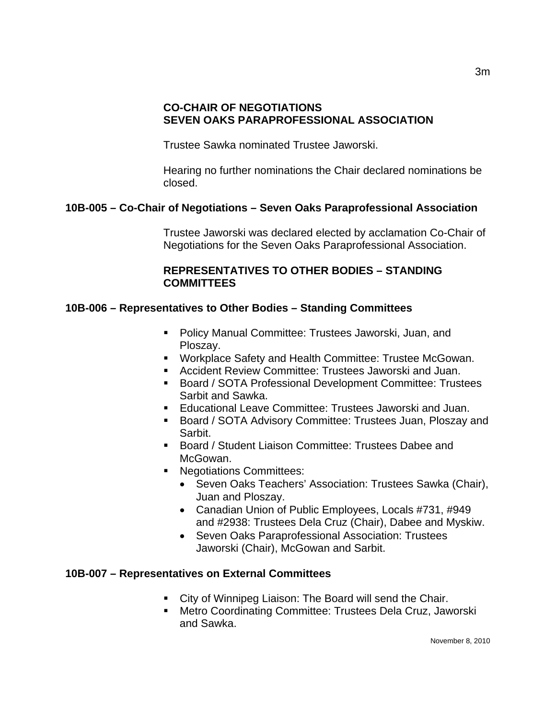### **CO-CHAIR OF NEGOTIATIONS SEVEN OAKS PARAPROFESSIONAL ASSOCIATION**

Trustee Sawka nominated Trustee Jaworski.

Hearing no further nominations the Chair declared nominations be closed.

# **10B-005 – Co-Chair of Negotiations – Seven Oaks Paraprofessional Association**

Trustee Jaworski was declared elected by acclamation Co-Chair of Negotiations for the Seven Oaks Paraprofessional Association.

## **REPRESENTATIVES TO OTHER BODIES – STANDING COMMITTEES**

# **10B-006 – Representatives to Other Bodies – Standing Committees**

- Policy Manual Committee: Trustees Jaworski, Juan, and Ploszay.
- **Workplace Safety and Health Committee: Trustee McGowan.**
- Accident Review Committee: Trustees Jaworski and Juan.
- Board / SOTA Professional Development Committee: Trustees Sarbit and Sawka.
- Educational Leave Committee: Trustees Jaworski and Juan.
- Board / SOTA Advisory Committee: Trustees Juan, Ploszay and Sarbit.
- Board / Student Liaison Committee: Trustees Dabee and McGowan.
- **Negotiations Committees:** 
	- Seven Oaks Teachers' Association: Trustees Sawka (Chair), Juan and Ploszay.
	- Canadian Union of Public Employees, Locals #731, #949 and #2938: Trustees Dela Cruz (Chair), Dabee and Myskiw.
	- Seven Oaks Paraprofessional Association: Trustees Jaworski (Chair), McGowan and Sarbit.

## **10B-007 – Representatives on External Committees**

- **City of Winnipeg Liaison: The Board will send the Chair.**
- Metro Coordinating Committee: Trustees Dela Cruz, Jaworski and Sawka.